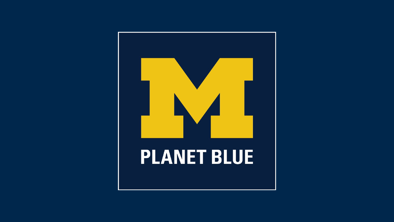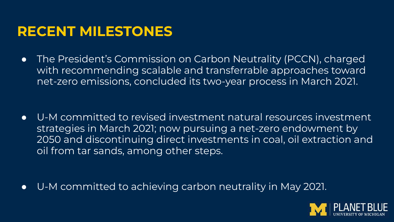## **RECENT MILESTONES**

● The President's Commission on Carbon Neutrality (PCCN), charged with recommending scalable and transferrable approaches toward net-zero emissions, concluded its two-year process in March 2021.

● U-M committed to revised investment natural resources investment strategies in March 2021; now pursuing a net-zero endowment by 2050 and discontinuing direct investments in coal, oil extraction and oil from tar sands, among other steps.

● U-M committed to achieving carbon neutrality in May 2021.

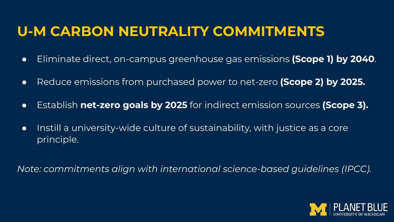# **U-M CARBON NEUTRALITY COMMITMENTS**

- Eliminate direct, on-campus greenhouse gas emissions **(Scope 1) by 2040**.
- Reduce emissions from purchased power to net-zero **(Scope 2) by 2025.**
- Establish **net-zero goals by 2025** for indirect emission sources **(Scope 3).**
- Instill a university-wide culture of sustainability, with justice as a core principle.

*Note: commitments align with international science-based guidelines (IPCC).*

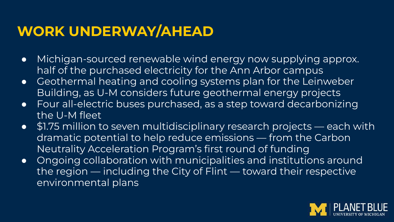# **WORK UNDERWAY/AHEAD**

- Michigan-sourced renewable wind energy now supplying approx. half of the purchased electricity for the Ann Arbor campus
- Geothermal heating and cooling systems plan for the Leinweber Building, as U-M considers future geothermal energy projects
- Four all-electric buses purchased, as a step toward decarbonizing the U-M fleet
- \$1.75 million to seven multidisciplinary research projects each with dramatic potential to help reduce emissions — from the Carbon Neutrality Acceleration Program's first round of funding
- Ongoing collaboration with municipalities and institutions around the region — including the City of Flint — toward their respective environmental plans

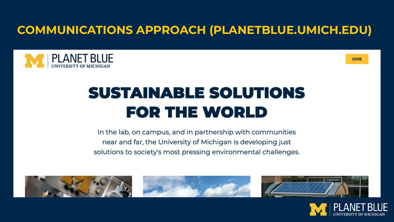### **COMMUNICATIONS APPROACH (PLANETBLUE.UMICH.EDU)**





# **SUSTAINABLE SOLUTIONS FOR THE WORLD**

In the lab, on campus, and in partnership with communities near and far, the University of Michigan is developing just solutions to society's most pressing environmental challenges.



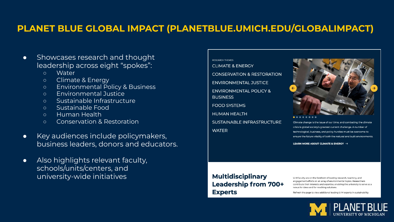#### **PLANET BLUE GLOBAL IMPACT (PLANETBLUE.UMICH.EDU/GLOBALIMPACT)**

- Showcases research and thought leadership across eight "spokes":
	- Water
	- Climate & Energy
	- Environmental Policy & Business
	- Environmental Justice
	- Sustainable Infrastructure
	- Sustainable Food
	- Human Health
	- Conservation & Restoration
- Key audiences include policymakers, business leaders, donors and educators.
- Also highlights relevant faculty, schools/units/centers, and university-wide initiatives

#### **RESEARCH THEMES**

**CLIMATE & ENERGY CONSERVATION & RESTORATION ENVIRONMENTAL JUSTICE ENVIRONMENTAL POLICY & BUSINESS FOOD SYSTEMS HUMAN HEALTH** SUSTAINABLE INFRASTRUCTURE **WATFR** 



Climate change is the issue of our time, and combating the climate crisis is global society's greatest current challenge. A number of technological, business, and policy hurdles must be overcome to ensure the future vitality of both the natural and built environments.

LEARN MORE ABOUT CLIMATE & ENERGY  $\rightarrow$ 

#### **Multidisciplinary** Leadership from 700+ **Experts**

U-M faculty are on the forefront of leading research, teaching, and engagement efforts on an array of environmental topics. Researchers contribute their interests and expertise, enabling the university to serve as a nexus for ideas and far-reaching solutions.

Refresh the page to view additional leading U-M experts in sustainability.

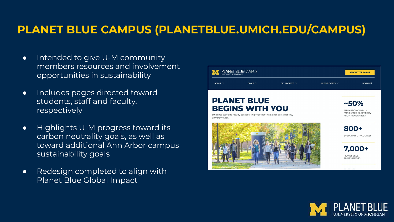### **PLANET BLUE CAMPUS (PLANETBLUE.UMICH.EDU/CAMPUS)**

- Intended to give U-M community members resources and involvement opportunities in sustainability
- Includes pages directed toward students, staff and faculty, respectively
- Highlights U-M progress toward its carbon neutrality goals, as well as toward additional Ann Arbor campus sustainability goals
- Redesign completed to align with Planet Blue Global Impact